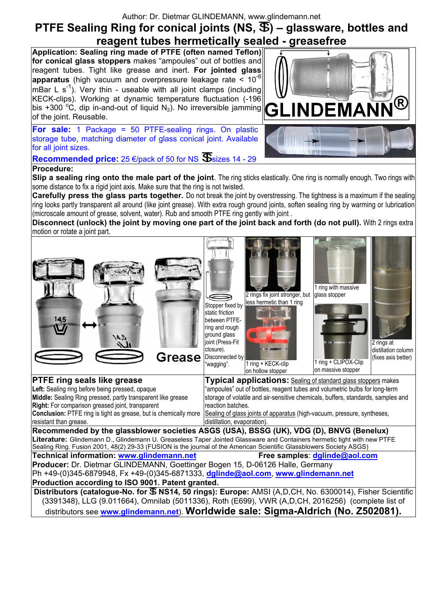Author: Dr. Dietmar GLINDEMANN, www.glindemann.net

# **PTFE Sealing Ring for conical joints (NS,**  $\mathcal{F}$ **) – glassware, bottles and reagent tubes hermetically sealed - greasefree**

**Application: Sealing ring made of PTFE (often named Teflon) for conical glass stoppers** makes "ampoules" out of bottles and reagent tubes. Tight like grease and inert. **For jointed glass apparatus** (high vacuum and overpressure leakage rate <  $10^{-6}$ mBar L  $s^{-1}$ ). Very thin - useable with all joint clamps (including KECK-clips). Working at dynamic temperature fluctuation (-196 bis +300 °C, dip in-and-out of liquid  $N_2$ ). No irreversible jamming of the joint. Reusable.

**For sale:** 1 Package = 50 PTFE-sealing rings. On plastic storage tube, matching diameter of glass conical joint. Available for all joint sizes.

**Recommended price:** 25  $\epsilon$ /pack of 50 for NS  $\mathbf{\mathcal{S}}$  sizes 14 - 29 **Procedure:**

**Slip a sealing ring onto the male part of the joint**. The ring sticks elastically. One ring is normally enough. Two rings with some distance to fix a rigid joint axis. Make sure that the ring is not twisted.

**Carefully press the glass parts together.** Do not break the joint by overstressing. The tightness is a maximum if the sealing ring looks partly transparent all around (like joint grease). With extra rough ground joints, soften sealing ring by warming or lubrication (microscale amount of grease, solvent, water). Rub and smooth PTFE ring gently with joint .

**Disconnect (unlock) the joint by moving one part of the joint back and forth (do not pull).** With 2 rings extra motion or rotate a joint part.

Stopper fixed by

2 rings fix joint stronger, but less hermetic than 1 ring

static friction between PTFEring and rough ground glass  $54/$ joint (Press-Fit 2 rings at closure). distillation column Grease Disconnected by (fixes axis better) 1 ring + CLIPOX-Clip "wagging". 1 ring + KECK-clip on massive stopper on hollow stopper **PTFE ring seals like grease Typical applications:** Sealing of standard glass stoppers makes **Left:** Sealing ring before being pressed, opaque "ampoules" out of bottles, reagent tubes and volumetric bulbs for long-term **Middle:** Sealing Ring pressed, partly transparent like grease storage of volatile and air-sensitive chemicals, buffers, standards, samples and **Right:** For comparison greased joint, transparent reaction batches. Sealing of glass joints of apparatus (high-vacuum, pressure, syntheses, **Conclusion:** PTFE ring is tight as grease, but is chemically more resistant than grease. distillation, evaporation). **Recommended by the glassblower societies ASGS (USA), BSSG (UK), VDG (D), BNVG (Benelux) Literature:** Glindemann D., Glindemann U. Greaseless Taper Jointed Glassware and Containers hermetic tight with new PTFE Sealing Ring. Fusion 2001, 48(2) 29-33 (FUSION is the journal of the American Scientific Glassblowers Society ASGS) **Technical information: www.glindemann.net Free samples**: **dglinde@aol.com Producer:** Dr. Dietmar GLINDEMANN, Goettinger Bogen 15, D-06126 Halle, Germany Ph +49-(0)345-6879948, Fx +49-(0)345-6871333, **dglinde@aol.com**, **www.glindemann.net Production according to ISO 9001. Patent granted. Distributors (catalogue-No. for**  $\overline{\mathfrak{B}}$  **NS14, 50 rings): Europe:** AMSI (A,D,CH, No. 6300014), Fisher Scientific (3391348), LLG (9.011664), Omnilab (5011336), Roth (E699), VWR (A,D,CH, 2016256) (complete list of distributors see **www.glindemann.net**). **Worldwide sale: Sigma-Aldrich (No. Z502081).** 



1 ring with massive glass stopper